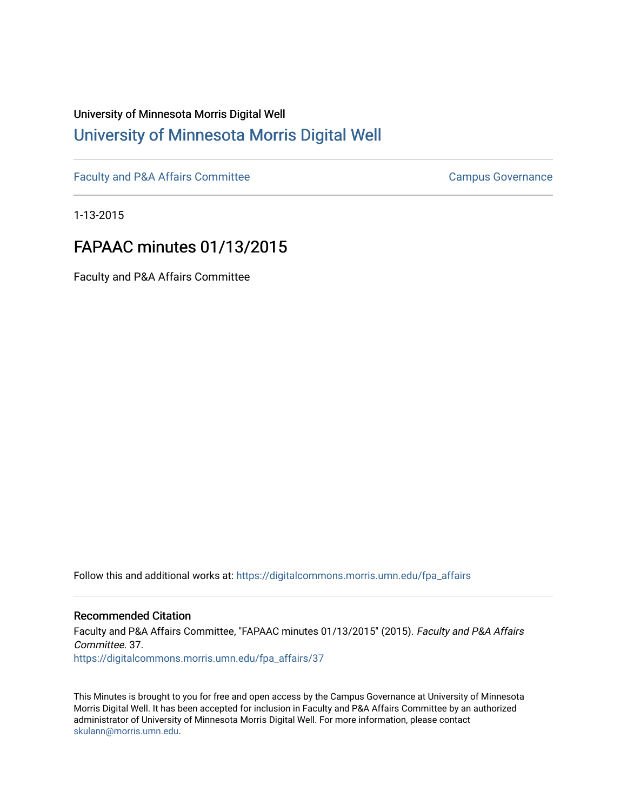# University of Minnesota Morris Digital Well [University of Minnesota Morris Digital Well](https://digitalcommons.morris.umn.edu/)

[Faculty and P&A Affairs Committee](https://digitalcommons.morris.umn.edu/fpa_affairs) [Campus Governance](https://digitalcommons.morris.umn.edu/campgov) Campus Governance

1-13-2015

# FAPAAC minutes 01/13/2015

Faculty and P&A Affairs Committee

Follow this and additional works at: [https://digitalcommons.morris.umn.edu/fpa\\_affairs](https://digitalcommons.morris.umn.edu/fpa_affairs?utm_source=digitalcommons.morris.umn.edu%2Ffpa_affairs%2F37&utm_medium=PDF&utm_campaign=PDFCoverPages)

#### Recommended Citation

Faculty and P&A Affairs Committee, "FAPAAC minutes 01/13/2015" (2015). Faculty and P&A Affairs Committee. 37. [https://digitalcommons.morris.umn.edu/fpa\\_affairs/37](https://digitalcommons.morris.umn.edu/fpa_affairs/37?utm_source=digitalcommons.morris.umn.edu%2Ffpa_affairs%2F37&utm_medium=PDF&utm_campaign=PDFCoverPages) 

This Minutes is brought to you for free and open access by the Campus Governance at University of Minnesota Morris Digital Well. It has been accepted for inclusion in Faculty and P&A Affairs Committee by an authorized administrator of University of Minnesota Morris Digital Well. For more information, please contact [skulann@morris.umn.edu.](mailto:skulann@morris.umn.edu)